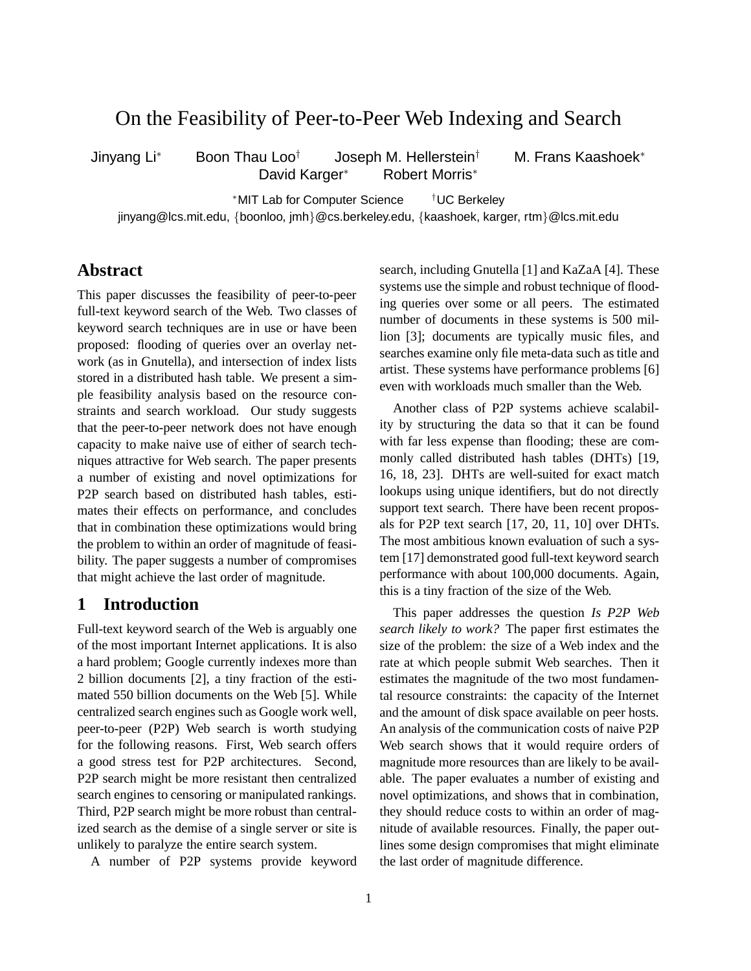# On the Feasibility of Peer-to-Peer Web Indexing and Search

Jinyang Li<sup>∗</sup> Boon Thau Loo† Joseph M. Hellerstein† M. Frans Kaashoek<sup>∗</sup> David Karger<sup>∗</sup> Robert Morris<sup>∗</sup>

<sup>∗</sup>MIT Lab for Computer Science †UC Berkeley

jinyang@lcs.mit.edu, {boonloo, jmh}@cs.berkeley.edu, {kaashoek, karger, rtm}@lcs.mit.edu

## **Abstract**

This paper discusses the feasibility of peer-to-peer full-text keyword search of the Web. Two classes of keyword search techniques are in use or have been proposed: flooding of queries over an overlay network (as in Gnutella), and intersection of index lists stored in a distributed hash table. We present a simple feasibility analysis based on the resource constraints and search workload. Our study suggests that the peer-to-peer network does not have enough capacity to make naive use of either of search techniques attractive for Web search. The paper presents a number of existing and novel optimizations for P2P search based on distributed hash tables, estimates their effects on performance, and concludes that in combination these optimizations would bring the problem to within an order of magnitude of feasibility. The paper suggests a number of compromises that might achieve the last order of magnitude.

## **1 Introduction**

Full-text keyword search of the Web is arguably one of the most important Internet applications. It is also a hard problem; Google currently indexes more than 2 billion documents [2], a tiny fraction of the estimated 550 billion documents on the Web [5]. While centralized search engines such as Google work well, peer-to-peer (P2P) Web search is worth studying for the following reasons. First, Web search offers a good stress test for P2P architectures. Second, P2P search might be more resistant then centralized search engines to censoring or manipulated rankings. Third, P2P search might be more robust than centralized search as the demise of a single server or site is unlikely to paralyze the entire search system.

A number of P2P systems provide keyword

search, including Gnutella [1] and KaZaA [4]. These systems use the simple and robust technique of flooding queries over some or all peers. The estimated number of documents in these systems is 500 million [3]; documents are typically music files, and searches examine only file meta-data such as title and artist. These systems have performance problems [6] even with workloads much smaller than the Web.

Another class of P2P systems achieve scalability by structuring the data so that it can be found with far less expense than flooding; these are commonly called distributed hash tables (DHTs) [19, 16, 18, 23]. DHTs are well-suited for exact match lookups using unique identifiers, but do not directly support text search. There have been recent proposals for P2P text search [17, 20, 11, 10] over DHTs. The most ambitious known evaluation of such a system [17] demonstrated good full-text keyword search performance with about 100,000 documents. Again, this is a tiny fraction of the size of the Web.

This paper addresses the question *Is P2P Web search likely to work?* The paper first estimates the size of the problem: the size of a Web index and the rate at which people submit Web searches. Then it estimates the magnitude of the two most fundamental resource constraints: the capacity of the Internet and the amount of disk space available on peer hosts. An analysis of the communication costs of naive P2P Web search shows that it would require orders of magnitude more resources than are likely to be available. The paper evaluates a number of existing and novel optimizations, and shows that in combination, they should reduce costs to within an order of magnitude of available resources. Finally, the paper outlines some design compromises that might eliminate the last order of magnitude difference.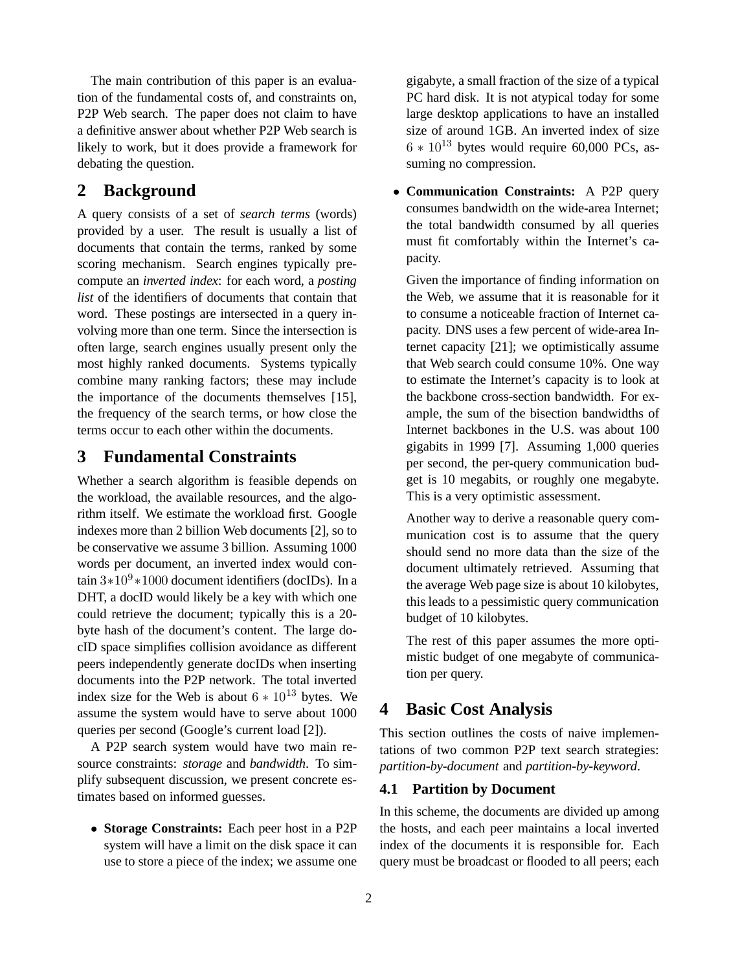The main contribution of this paper is an evaluation of the fundamental costs of, and constraints on, P2P Web search. The paper does not claim to have a definitive answer about whether P2P Web search is likely to work, but it does provide a framework for debating the question.

## **2 Background**

A query consists of a set of *search terms* (words) provided by a user. The result is usually a list of documents that contain the terms, ranked by some scoring mechanism. Search engines typically precompute an *inverted index*: for each word, a *posting list* of the identifiers of documents that contain that word. These postings are intersected in a query involving more than one term. Since the intersection is often large, search engines usually present only the most highly ranked documents. Systems typically combine many ranking factors; these may include the importance of the documents themselves [15], the frequency of the search terms, or how close the terms occur to each other within the documents.

## **3 Fundamental Constraints**

Whether a search algorithm is feasible depends on the workload, the available resources, and the algorithm itself. We estimate the workload first. Google indexes more than 2 billion Web documents [2], so to be conservative we assume 3 billion. Assuming 1000 words per document, an inverted index would contain  $3*10^9*1000$  document identifiers (docIDs). In a DHT, a docID would likely be a key with which one could retrieve the document; typically this is a 20 byte hash of the document's content. The large docID space simplifies collision avoidance as different peers independently generate docIDs when inserting documents into the P2P network. The total inverted index size for the Web is about  $6 * 10^{13}$  bytes. We assume the system would have to serve about 1000 queries per second (Google's current load [2]).

A P2P search system would have two main resource constraints: *storage* and *bandwidth*. To simplify subsequent discussion, we present concrete estimates based on informed guesses.

• **Storage Constraints:** Each peer host in a P2P system will have a limit on the disk space it can use to store a piece of the index; we assume one gigabyte, a small fraction of the size of a typical PC hard disk. It is not atypical today for some large desktop applications to have an installed size of around 1GB. An inverted index of size  $6 * 10^{13}$  bytes would require 60,000 PCs, assuming no compression.

• **Communication Constraints:** A P2P query consumes bandwidth on the wide-area Internet; the total bandwidth consumed by all queries must fit comfortably within the Internet's capacity.

Given the importance of finding information on the Web, we assume that it is reasonable for it to consume a noticeable fraction of Internet capacity. DNS uses a few percent of wide-area Internet capacity [21]; we optimistically assume that Web search could consume 10%. One way to estimate the Internet's capacity is to look at the backbone cross-section bandwidth. For example, the sum of the bisection bandwidths of Internet backbones in the U.S. was about 100 gigabits in 1999 [7]. Assuming 1,000 queries per second, the per-query communication budget is 10 megabits, or roughly one megabyte. This is a very optimistic assessment.

Another way to derive a reasonable query communication cost is to assume that the query should send no more data than the size of the document ultimately retrieved. Assuming that the average Web page size is about 10 kilobytes, this leads to a pessimistic query communication budget of 10 kilobytes.

The rest of this paper assumes the more optimistic budget of one megabyte of communication per query.

## **4 Basic Cost Analysis**

This section outlines the costs of naive implementations of two common P2P text search strategies: *partition-by-document* and *partition-by-keyword*.

### **4.1 Partition by Document**

In this scheme, the documents are divided up among the hosts, and each peer maintains a local inverted index of the documents it is responsible for. Each query must be broadcast or flooded to all peers; each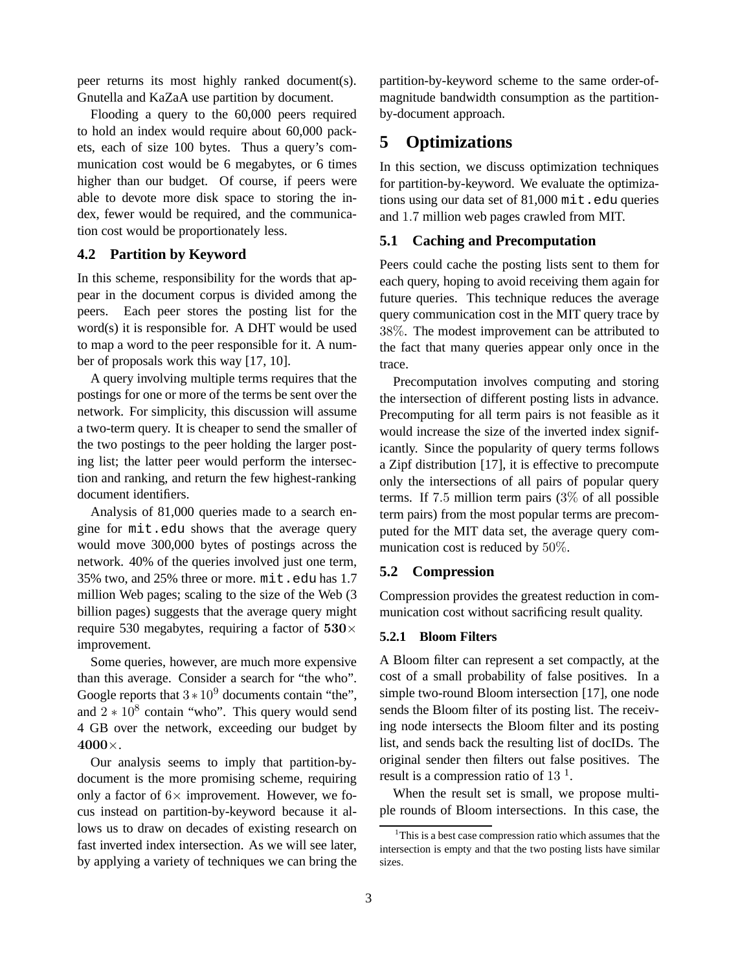peer returns its most highly ranked document(s). Gnutella and KaZaA use partition by document.

Flooding a query to the 60,000 peers required to hold an index would require about 60,000 packets, each of size 100 bytes. Thus a query's communication cost would be 6 megabytes, or 6 times higher than our budget. Of course, if peers were able to devote more disk space to storing the index, fewer would be required, and the communication cost would be proportionately less.

### **4.2 Partition by Keyword**

In this scheme, responsibility for the words that appear in the document corpus is divided among the peers. Each peer stores the posting list for the word(s) it is responsible for. A DHT would be used to map a word to the peer responsible for it. A number of proposals work this way [17, 10].

A query involving multiple terms requires that the postings for one or more of the terms be sent over the network. For simplicity, this discussion will assume a two-term query. It is cheaper to send the smaller of the two postings to the peer holding the larger posting list; the latter peer would perform the intersection and ranking, and return the few highest-ranking document identifiers.

Analysis of 81,000 queries made to a search engine for mit.edu shows that the average query would move 300,000 bytes of postings across the network. 40% of the queries involved just one term, 35% two, and 25% three or more. mit.edu has 1.7 million Web pages; scaling to the size of the Web (3 billion pages) suggests that the average query might require 530 megabytes, requiring a factor of  $530 \times$ improvement.

Some queries, however, are much more expensive than this average. Consider a search for "the who". Google reports that  $3 \times 10^9$  documents contain "the", and  $2 * 10^8$  contain "who". This query would send 4 GB over the network, exceeding our budget by 4000×.

Our analysis seems to imply that partition-bydocument is the more promising scheme, requiring only a factor of  $6\times$  improvement. However, we focus instead on partition-by-keyword because it allows us to draw on decades of existing research on fast inverted index intersection. As we will see later, by applying a variety of techniques we can bring the partition-by-keyword scheme to the same order-ofmagnitude bandwidth consumption as the partitionby-document approach.

## **5 Optimizations**

In this section, we discuss optimization techniques for partition-by-keyword. We evaluate the optimizations using our data set of  $81,000$  mit.edu queries and 1.7 million web pages crawled from MIT.

#### **5.1 Caching and Precomputation**

Peers could cache the posting lists sent to them for each query, hoping to avoid receiving them again for future queries. This technique reduces the average query communication cost in the MIT query trace by 38%. The modest improvement can be attributed to the fact that many queries appear only once in the trace.

Precomputation involves computing and storing the intersection of different posting lists in advance. Precomputing for all term pairs is not feasible as it would increase the size of the inverted index significantly. Since the popularity of query terms follows a Zipf distribution [17], it is effective to precompute only the intersections of all pairs of popular query terms. If 7.5 million term pairs  $(3\% \text{ of all possible})$ term pairs) from the most popular terms are precomputed for the MIT data set, the average query communication cost is reduced by 50%.

### **5.2 Compression**

Compression provides the greatest reduction in communication cost without sacrificing result quality.

#### **5.2.1 Bloom Filters**

A Bloom filter can represent a set compactly, at the cost of a small probability of false positives. In a simple two-round Bloom intersection [17], one node sends the Bloom filter of its posting list. The receiving node intersects the Bloom filter and its posting list, and sends back the resulting list of docIDs. The original sender then filters out false positives. The result is a compression ratio of  $13<sup>1</sup>$ .

When the result set is small, we propose multiple rounds of Bloom intersections. In this case, the

 $1$ This is a best case compression ratio which assumes that the intersection is empty and that the two posting lists have similar sizes.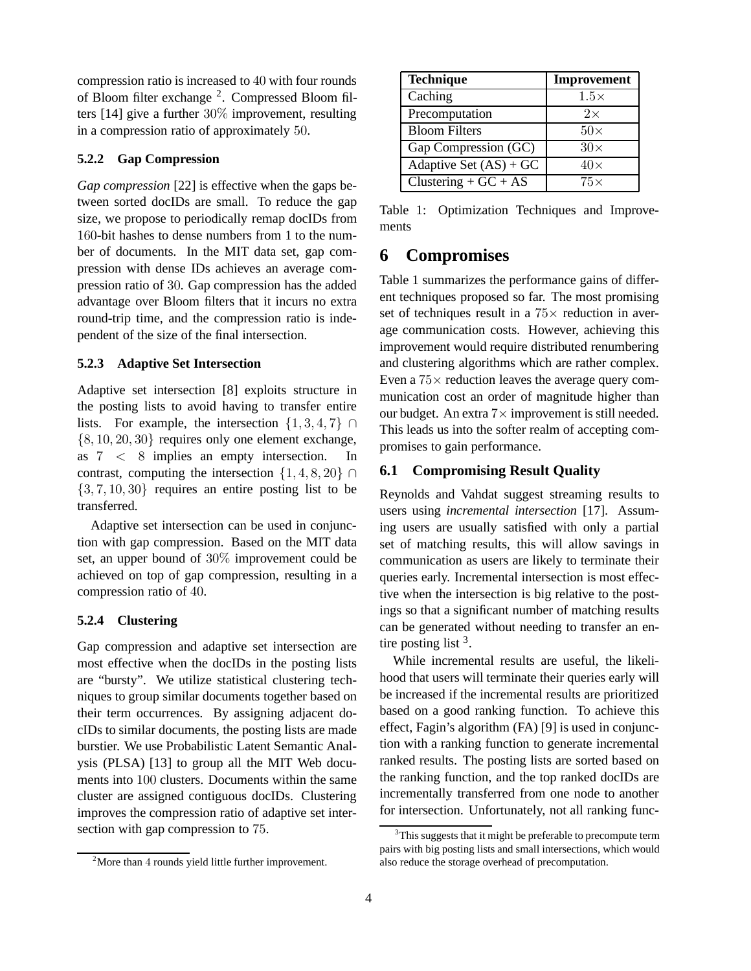compression ratio is increased to 40 with four rounds of Bloom filter exchange <sup>2</sup>. Compressed Bloom filters [14] give a further 30% improvement, resulting in a compression ratio of approximately 50.

### **5.2.2 Gap Compression**

*Gap compression* [22] is effective when the gaps between sorted docIDs are small. To reduce the gap size, we propose to periodically remap docIDs from 160-bit hashes to dense numbers from 1 to the number of documents. In the MIT data set, gap compression with dense IDs achieves an average compression ratio of 30. Gap compression has the added advantage over Bloom filters that it incurs no extra round-trip time, and the compression ratio is independent of the size of the final intersection.

### **5.2.3 Adaptive Set Intersection**

Adaptive set intersection [8] exploits structure in the posting lists to avoid having to transfer entire lists. For example, the intersection  $\{1, 3, 4, 7\} \cap$  $\{8, 10, 20, 30\}$  requires only one element exchange, as  $7 < 8$  implies an empty intersection. contrast, computing the intersection  $\{1, 4, 8, 20\}$  $\{3, 7, 10, 30\}$  requires an entire posting list to be transferred.

Adaptive set intersection can be used in conjunction with gap compression. Based on the MIT data set, an upper bound of 30% improvement could be achieved on top of gap compression, resulting in a compression ratio of 40.

### **5.2.4 Clustering**

Gap compression and adaptive set intersection are most effective when the docIDs in the posting lists are "bursty". We utilize statistical clustering techniques to group similar documents together based on their term occurrences. By assigning adjacent docIDs to similar documents, the posting lists are made burstier. We use Probabilistic Latent Semantic Analysis (PLSA) [13] to group all the MIT Web documents into 100 clusters. Documents within the same cluster are assigned contiguous docIDs. Clustering improves the compression ratio of adaptive set intersection with gap compression to 75.

| <b>Technique</b>         | Improvement |
|--------------------------|-------------|
| Caching                  | $1.5\times$ |
| Precomputation           | $2\times$   |
| <b>Bloom Filters</b>     | $50\times$  |
| Gap Compression (GC)     | $30\times$  |
| Adaptive Set $(AS) + GC$ | $40\times$  |
| Clustering + $GC + AS$   | $75\times$  |

Table 1: Optimization Techniques and Improvements

## **6 Compromises**

Table 1 summarizes the performance gains of different techniques proposed so far. The most promising set of techniques result in a  $75\times$  reduction in average communication costs. However, achieving this improvement would require distributed renumbering and clustering algorithms which are rather complex. Even a  $75\times$  reduction leaves the average query communication cost an order of magnitude higher than our budget. An extra  $7\times$  improvement is still needed. This leads us into the softer realm of accepting compromises to gain performance.

### **6.1 Compromising Result Quality**

Reynolds and Vahdat suggest streaming results to users using *incremental intersection* [17]. Assuming users are usually satisfied with only a partial set of matching results, this will allow savings in communication as users are likely to terminate their queries early. Incremental intersection is most effective when the intersection is big relative to the postings so that a significant number of matching results can be generated without needing to transfer an entire posting list  $3$ .

While incremental results are useful, the likelihood that users will terminate their queries early will be increased if the incremental results are prioritized based on a good ranking function. To achieve this effect, Fagin's algorithm (FA) [9] is used in conjunction with a ranking function to generate incremental ranked results. The posting lists are sorted based on the ranking function, and the top ranked docIDs are incrementally transferred from one node to another for intersection. Unfortunately, not all ranking func-

<sup>&</sup>lt;sup>2</sup>More than 4 rounds yield little further improvement.

 $3$ This suggests that it might be preferable to precompute term pairs with big posting lists and small intersections, which would also reduce the storage overhead of precomputation.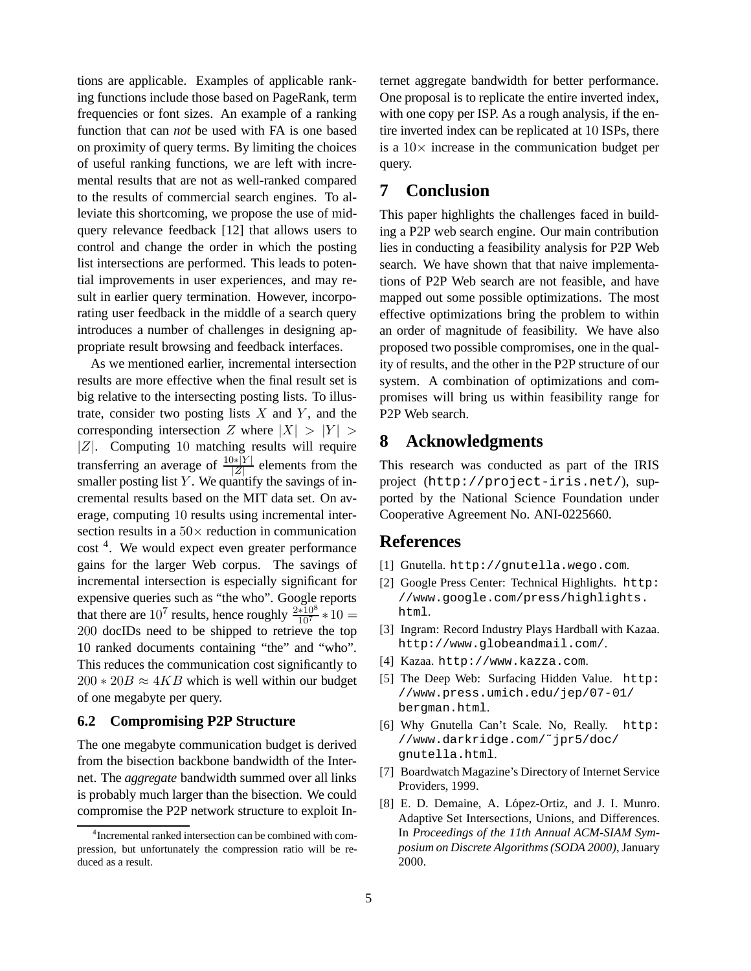tions are applicable. Examples of applicable ranking functions include those based on PageRank, term frequencies or font sizes. An example of a ranking function that can *not* be used with FA is one based on proximity of query terms. By limiting the choices of useful ranking functions, we are left with incremental results that are not as well-ranked compared to the results of commercial search engines. To alleviate this shortcoming, we propose the use of midquery relevance feedback [12] that allows users to control and change the order in which the posting list intersections are performed. This leads to potential improvements in user experiences, and may result in earlier query termination. However, incorporating user feedback in the middle of a search query introduces a number of challenges in designing appropriate result browsing and feedback interfaces.

As we mentioned earlier, incremental intersection results are more effective when the final result set is big relative to the intersecting posting lists. To illustrate, consider two posting lists  $X$  and  $Y$ , and the corresponding intersection Z where  $|X| > |Y| >$  $|Z|$ . Computing 10 matching results will require transferring an average of  $\frac{10*|Y|}{|Z|}$  elements from the smaller posting list  $Y$ . We quantify the savings of incremental results based on the MIT data set. On average, computing 10 results using incremental intersection results in a  $50\times$  reduction in communication cost<sup>4</sup>. We would expect even greater performance gains for the larger Web corpus. The savings of incremental intersection is especially significant for expensive queries such as "the who". Google reports that there are 10<sup>7</sup> results, hence roughly  $\frac{2*10^8}{10^7}*10=$ 200 docIDs need to be shipped to retrieve the top 10 ranked documents containing "the" and "who". This reduces the communication cost significantly to  $200 * 20B \approx 4KB$  which is well within our budget of one megabyte per query.

#### **6.2 Compromising P2P Structure**

The one megabyte communication budget is derived from the bisection backbone bandwidth of the Internet. The *aggregate* bandwidth summed over all links is probably much larger than the bisection. We could compromise the P2P network structure to exploit Internet aggregate bandwidth for better performance. One proposal is to replicate the entire inverted index, with one copy per ISP. As a rough analysis, if the entire inverted index can be replicated at 10 ISPs, there is a  $10\times$  increase in the communication budget per query.

## **7 Conclusion**

This paper highlights the challenges faced in building a P2P web search engine. Our main contribution lies in conducting a feasibility analysis for P2P Web search. We have shown that that naive implementations of P2P Web search are not feasible, and have mapped out some possible optimizations. The most effective optimizations bring the problem to within an order of magnitude of feasibility. We have also proposed two possible compromises, one in the quality of results, and the other in the P2P structure of our system. A combination of optimizations and compromises will bring us within feasibility range for P2P Web search.

### **8 Acknowledgments**

This research was conducted as part of the IRIS project (http://project-iris.net/), supported by the National Science Foundation under Cooperative Agreement No. ANI-0225660.

### **References**

- [1] Gnutella. http://gnutella.wego.com.
- [2] Google Press Center: Technical Highlights. http: //www.google.com/press/highlights. html.
- [3] Ingram: Record Industry Plays Hardball with Kazaa. http://www.globeandmail.com/.
- [4] Kazaa. http://www.kazza.com.
- [5] The Deep Web: Surfacing Hidden Value. http: //www.press.umich.edu/jep/07-01/ bergman.html.
- [6] Why Gnutella Can't Scale. No, Really. http: //www.darkridge.com/˜jpr5/doc/ gnutella.html.
- [7] Boardwatch Magazine's Directory of Internet Service Providers, 1999.
- [8] E. D. Demaine, A. López-Ortiz, and J. I. Munro. Adaptive Set Intersections, Unions, and Differences. In *Proceedings of the 11th Annual ACM-SIAM Symposium on Discrete Algorithms(SODA 2000)*,January 2000.

<sup>4</sup> Incremental ranked intersection can be combined with compression, but unfortunately the compression ratio will be reduced as a result.